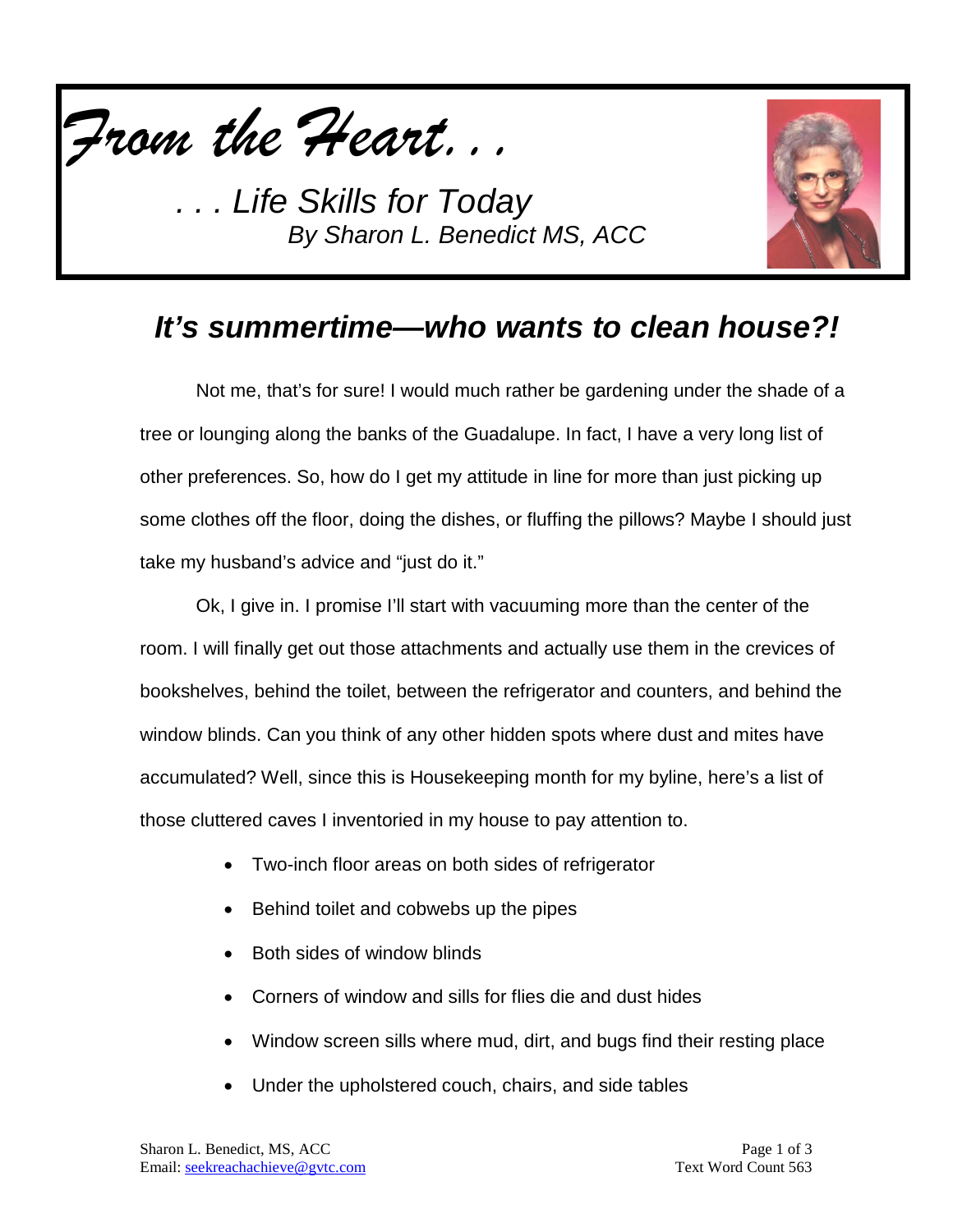



### *It's summertime—who wants to clean house?!*

Not me, that's for sure! I would much rather be gardening under the shade of a tree or lounging along the banks of the Guadalupe. In fact, I have a very long list of other preferences. So, how do I get my attitude in line for more than just picking up some clothes off the floor, doing the dishes, or fluffing the pillows? Maybe I should just take my husband's advice and "just do it."

Ok, I give in. I promise I'll start with vacuuming more than the center of the room. I will finally get out those attachments and actually use them in the crevices of bookshelves, behind the toilet, between the refrigerator and counters, and behind the window blinds. Can you think of any other hidden spots where dust and mites have accumulated? Well, since this is Housekeeping month for my byline, here's a list of those cluttered caves I inventoried in my house to pay attention to.

- Two-inch floor areas on both sides of refrigerator
- Behind toilet and cobwebs up the pipes
- Both sides of window blinds
- Corners of window and sills for flies die and dust hides
- Window screen sills where mud, dirt, and bugs find their resting place
- Under the upholstered couch, chairs, and side tables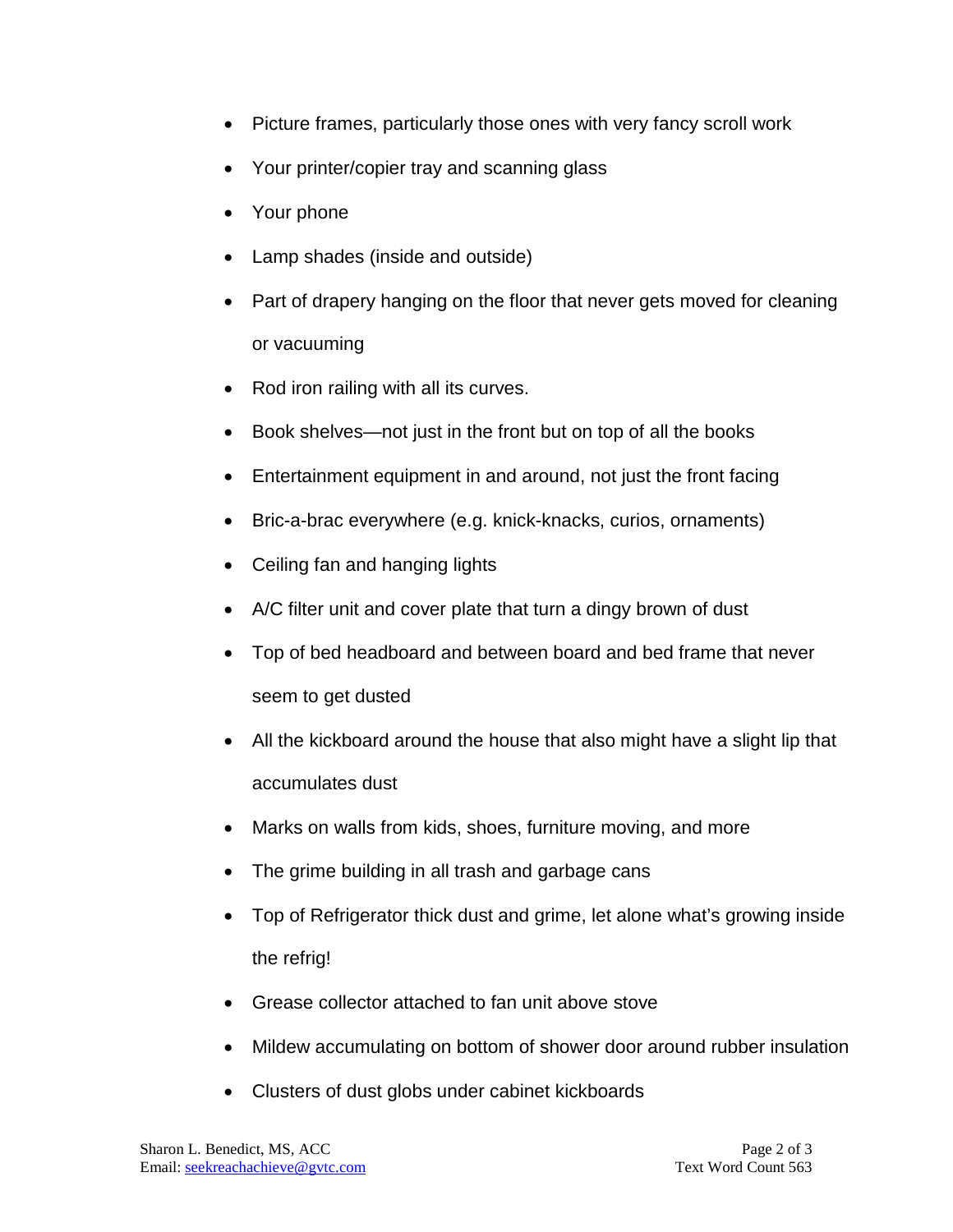- Picture frames, particularly those ones with very fancy scroll work
- Your printer/copier tray and scanning glass
- Your phone
- Lamp shades (inside and outside)
- Part of drapery hanging on the floor that never gets moved for cleaning or vacuuming
- Rod iron railing with all its curves.
- Book shelves—not just in the front but on top of all the books
- Entertainment equipment in and around, not just the front facing
- Bric-a-brac everywhere (e.g. knick-knacks, curios, ornaments)
- Ceiling fan and hanging lights
- A/C filter unit and cover plate that turn a dingy brown of dust
- Top of bed headboard and between board and bed frame that never seem to get dusted
- All the kickboard around the house that also might have a slight lip that accumulates dust
- Marks on walls from kids, shoes, furniture moving, and more
- The grime building in all trash and garbage cans
- Top of Refrigerator thick dust and grime, let alone what's growing inside the refrig!
- Grease collector attached to fan unit above stove
- Mildew accumulating on bottom of shower door around rubber insulation
- Clusters of dust globs under cabinet kickboards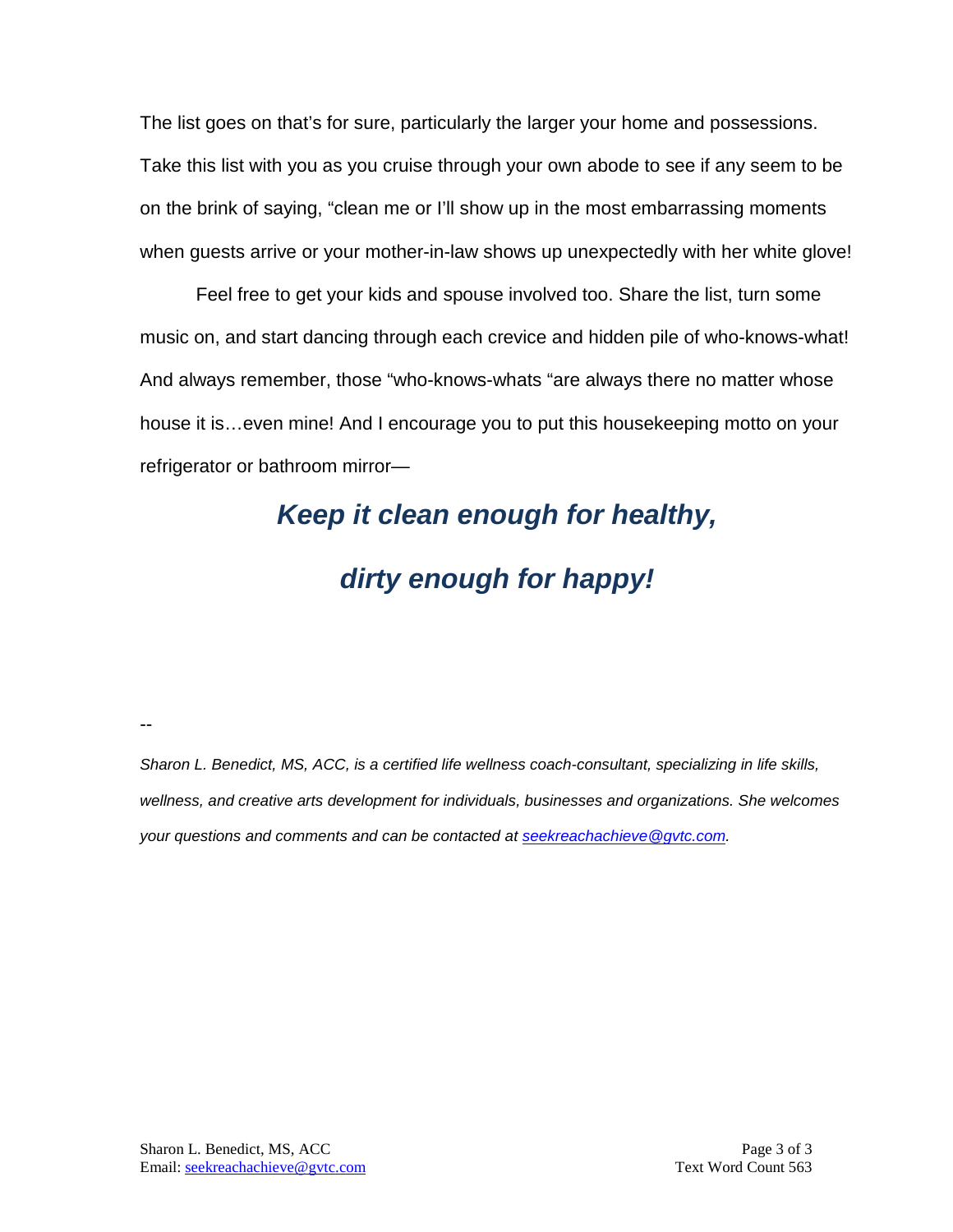The list goes on that's for sure, particularly the larger your home and possessions. Take this list with you as you cruise through your own abode to see if any seem to be on the brink of saying, "clean me or I'll show up in the most embarrassing moments when guests arrive or your mother-in-law shows up unexpectedly with her white glove!

Feel free to get your kids and spouse involved too. Share the list, turn some music on, and start dancing through each crevice and hidden pile of who-knows-what! And always remember, those "who-knows-whats "are always there no matter whose house it is…even mine! And I encourage you to put this housekeeping motto on your refrigerator or bathroom mirror—

# *Keep it clean enough for healthy,*

### *dirty enough for happy!*

--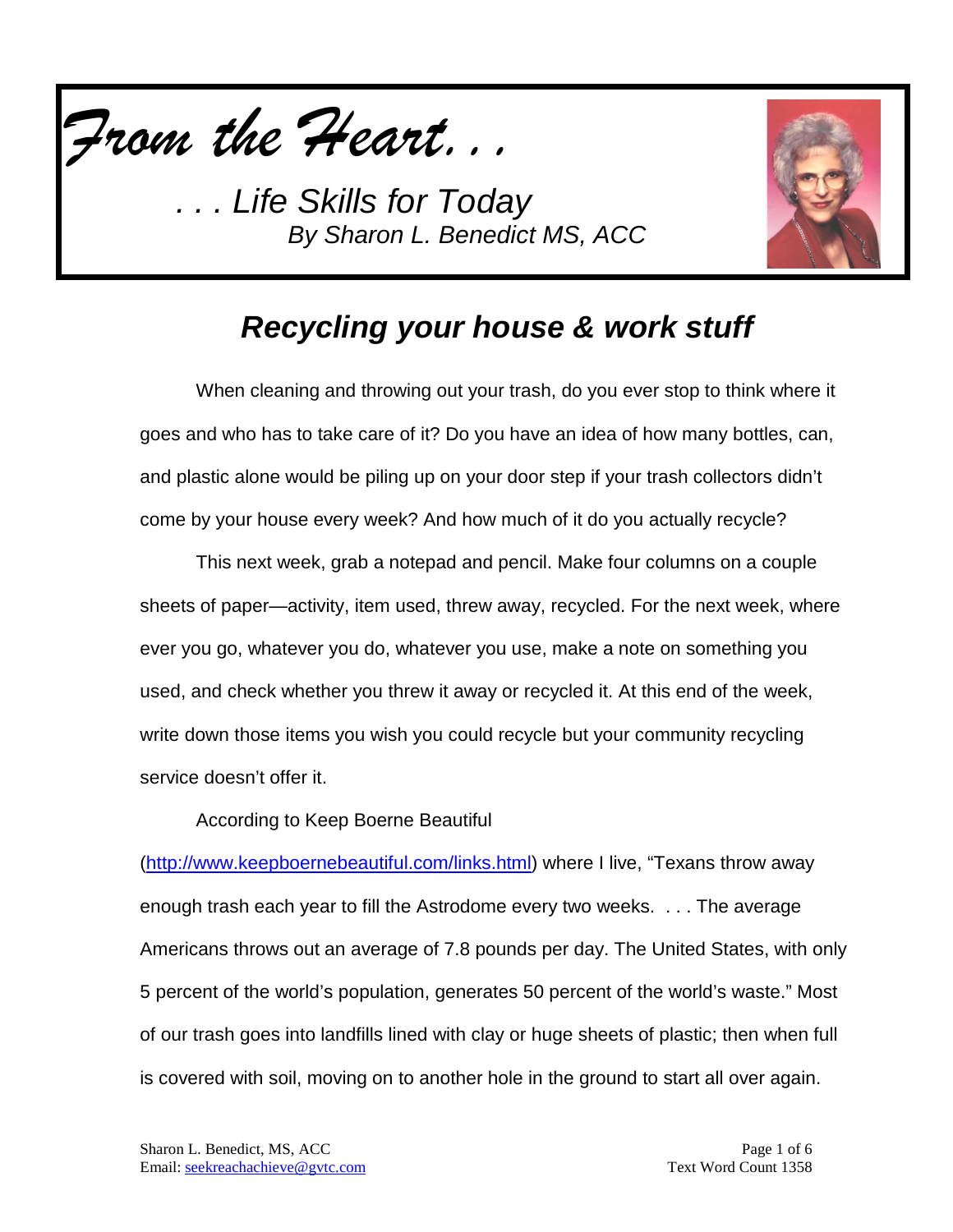



### *Recycling your house & work stuff*

When cleaning and throwing out your trash, do you ever stop to think where it goes and who has to take care of it? Do you have an idea of how many bottles, can, and plastic alone would be piling up on your door step if your trash collectors didn't come by your house every week? And how much of it do you actually recycle?

This next week, grab a notepad and pencil. Make four columns on a couple sheets of paper—activity, item used, threw away, recycled. For the next week, where ever you go, whatever you do, whatever you use, make a note on something you used, and check whether you threw it away or recycled it. At this end of the week, write down those items you wish you could recycle but your community recycling service doesn't offer it.

According to Keep Boerne Beautiful

[\(http://www.keepboernebeautiful.com/links.html\)](http://www.keepboernebeautiful.com/links.html) where I live, "Texans throw away enough trash each year to fill the Astrodome every two weeks. . . . The average Americans throws out an average of 7.8 pounds per day. The United States, with only 5 percent of the world's population, generates 50 percent of the world's waste." Most of our trash goes into landfills lined with clay or huge sheets of plastic; then when full is covered with soil, moving on to another hole in the ground to start all over again.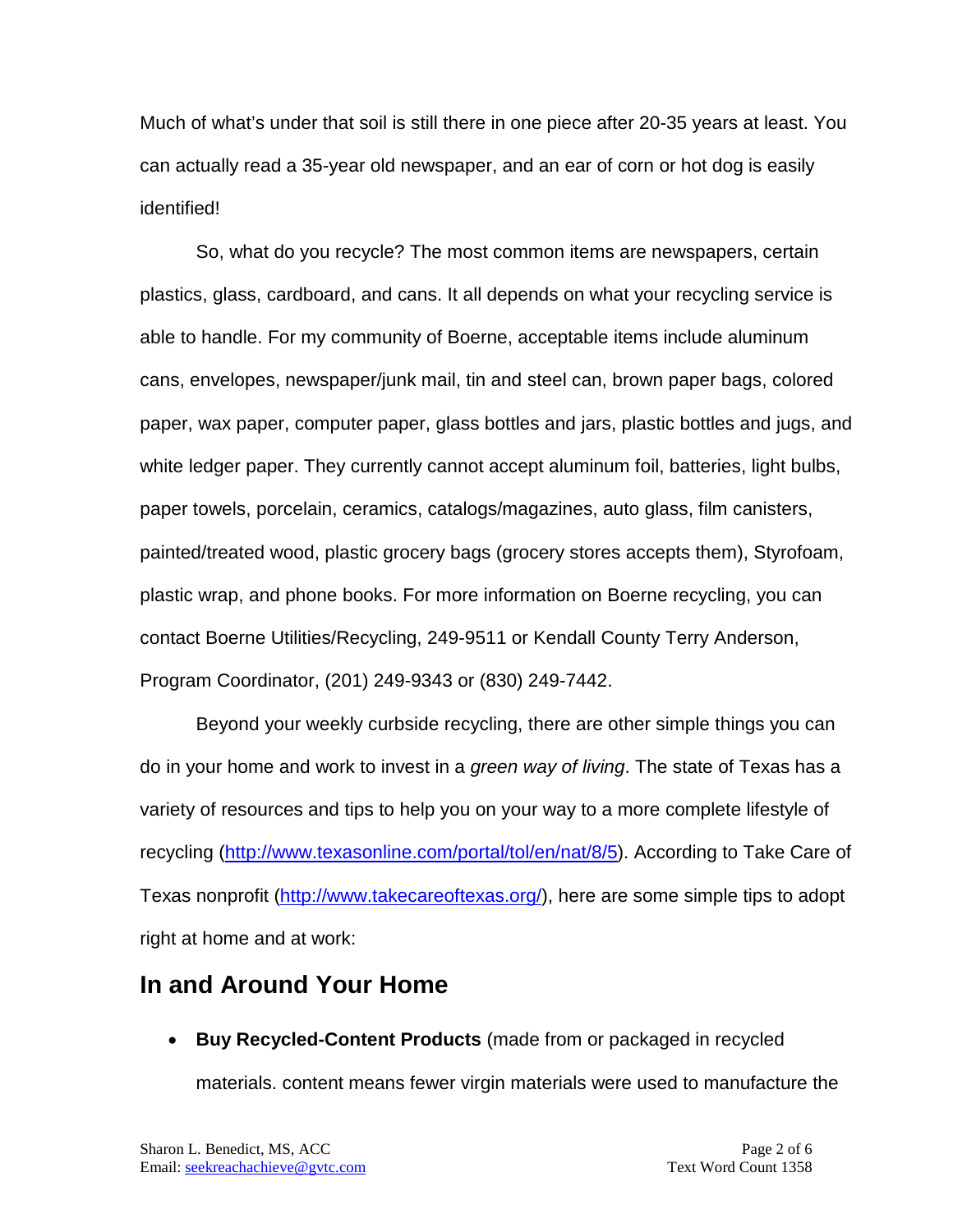Much of what's under that soil is still there in one piece after 20-35 years at least. You can actually read a 35-year old newspaper, and an ear of corn or hot dog is easily identified!

So, what do you recycle? The most common items are newspapers, certain plastics, glass, cardboard, and cans. It all depends on what your recycling service is able to handle. For my community of Boerne, acceptable items include aluminum cans, envelopes, newspaper/junk mail, tin and steel can, brown paper bags, colored paper, wax paper, computer paper, glass bottles and jars, plastic bottles and jugs, and white ledger paper. They currently cannot accept aluminum foil, batteries, light bulbs, paper towels, porcelain, ceramics, catalogs/magazines, auto glass, film canisters, painted/treated wood, plastic grocery bags (grocery stores accepts them), Styrofoam, plastic wrap, and phone books. For more information on Boerne recycling, you can contact Boerne Utilities/Recycling, 249-9511 or Kendall County Terry Anderson, Program Coordinator, (201) 249-9343 or (830) 249-7442.

Beyond your weekly curbside recycling, there are other simple things you can do in your home and work to invest in a *green way of living*. The state of Texas has a variety of resources and tips to help you on your way to a more complete lifestyle of recycling [\(http://www.texasonline.com/portal/tol/en/nat/8/5\)](http://www.texasonline.com/portal/tol/en/nat/8/5). According to Take Care of Texas nonprofit [\(http://www.takecareoftexas.org/\)](http://www.takecareoftexas.org/), here are some simple tips to adopt right at home and at work:

#### **In and Around Your Home**

• **Buy Recycled-Content Products** (made from or packaged in recycled

materials. content means fewer virgin materials were used to manufacture the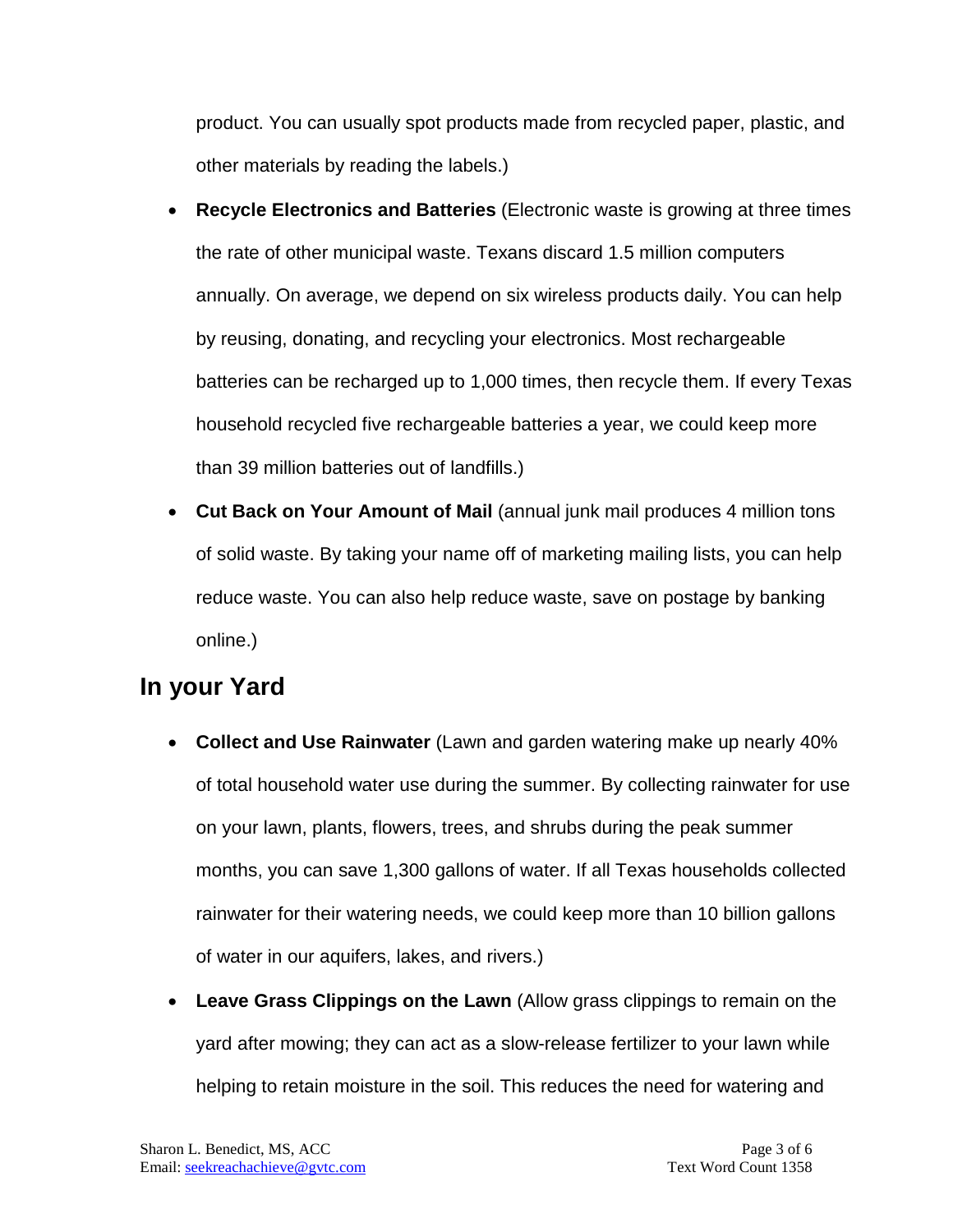product. You can usually spot products made from recycled paper, plastic, and other materials by reading the labels.)

- **Recycle Electronics and Batteries** (Electronic waste is growing at three times the rate of other municipal waste. Texans discard 1.5 million computers annually. On average, we depend on six wireless products daily. You can help by reusing, donating, and recycling your electronics. Most rechargeable batteries can be recharged up to 1,000 times, then recycle them. If every Texas household recycled five rechargeable batteries a year, we could keep more than 39 million batteries out of landfills.)
- **Cut Back on Your Amount of Mail** (annual junk mail produces 4 million tons of solid waste. By taking your name off of marketing mailing lists, you can help reduce waste. You can also help reduce waste, save on postage by banking online.)

#### **In your Yard**

- **Collect and Use Rainwater** (Lawn and garden watering make up nearly 40% of total household water use during the summer. By collecting rainwater for use on your lawn, plants, flowers, trees, and shrubs during the peak summer months, you can save 1,300 gallons of water. If all Texas households collected rainwater for their watering needs, we could keep more than 10 billion gallons of water in our aquifers, lakes, and rivers.)
- **Leave Grass Clippings on the Lawn** (Allow grass clippings to remain on the yard after mowing; they can act as a slow-release fertilizer to your lawn while helping to retain moisture in the soil. This reduces the need for watering and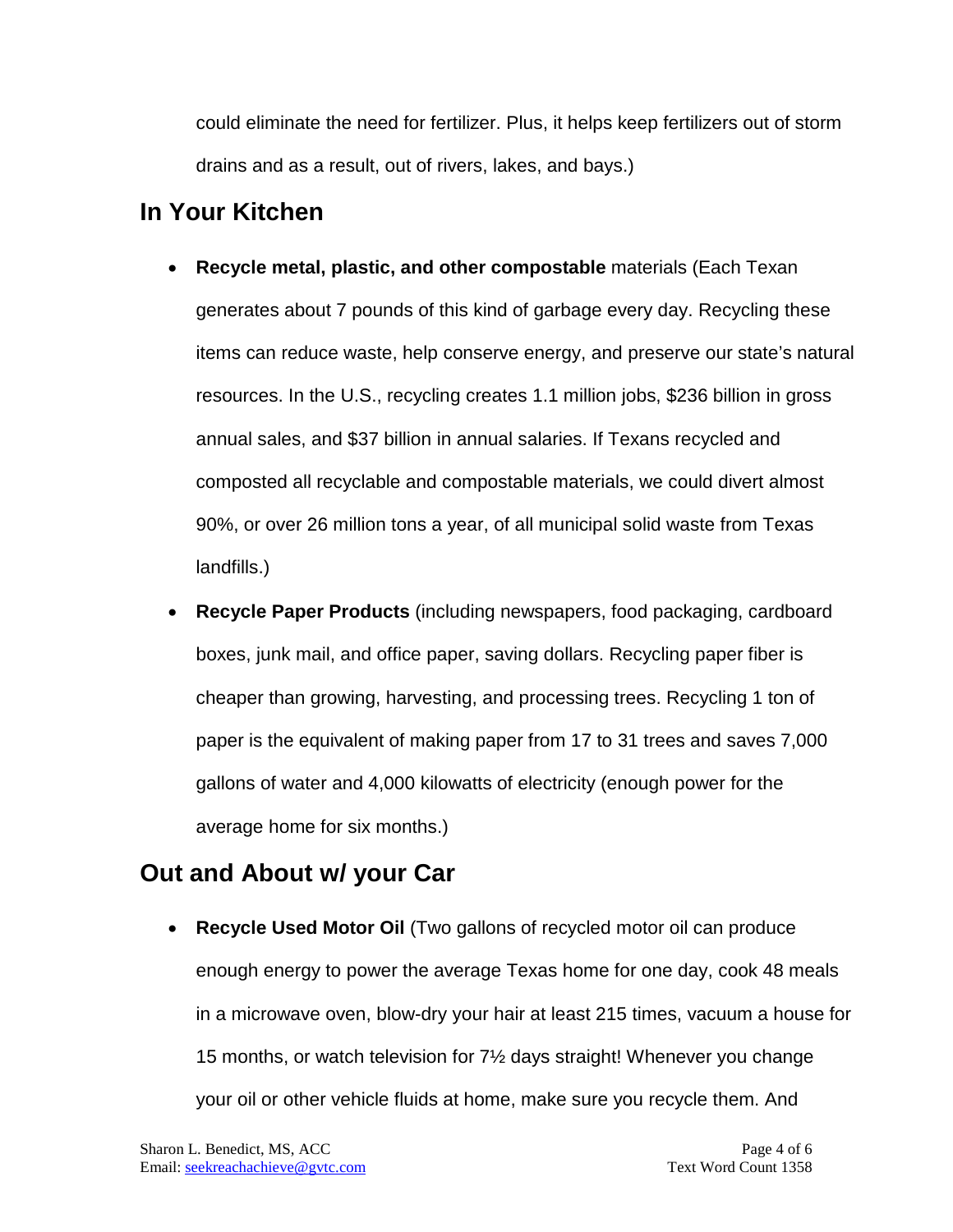could eliminate the need for fertilizer. Plus, it helps keep fertilizers out of storm drains and as a result, out of rivers, lakes, and bays.)

#### **In Your Kitchen**

- **Recycle metal, plastic, and other compostable** materials (Each Texan generates about 7 pounds of this kind of garbage every day. Recycling these items can reduce waste, help conserve energy, and preserve our state's natural resources. In the U.S., recycling creates 1.1 million jobs, \$236 billion in gross annual sales, and \$37 billion in annual salaries. If Texans recycled and composted all recyclable and compostable materials, we could divert almost 90%, or over 26 million tons a year, of all municipal solid waste from Texas landfills.)
- **Recycle Paper Products** (including newspapers, food packaging, cardboard boxes, junk mail, and office paper, saving dollars. Recycling paper fiber is cheaper than growing, harvesting, and processing trees. Recycling 1 ton of paper is the equivalent of making paper from 17 to 31 trees and saves 7,000 gallons of water and 4,000 kilowatts of electricity (enough power for the average home for six months.)

#### **Out and About w/ your Car**

• **Recycle Used Motor Oil** (Two gallons of recycled motor oil can produce enough energy to power the average Texas home for one day, cook 48 meals in a microwave oven, blow-dry your hair at least 215 times, vacuum a house for 15 months, or watch television for 7½ days straight! Whenever you change your oil or other vehicle fluids at home, make sure you recycle them. And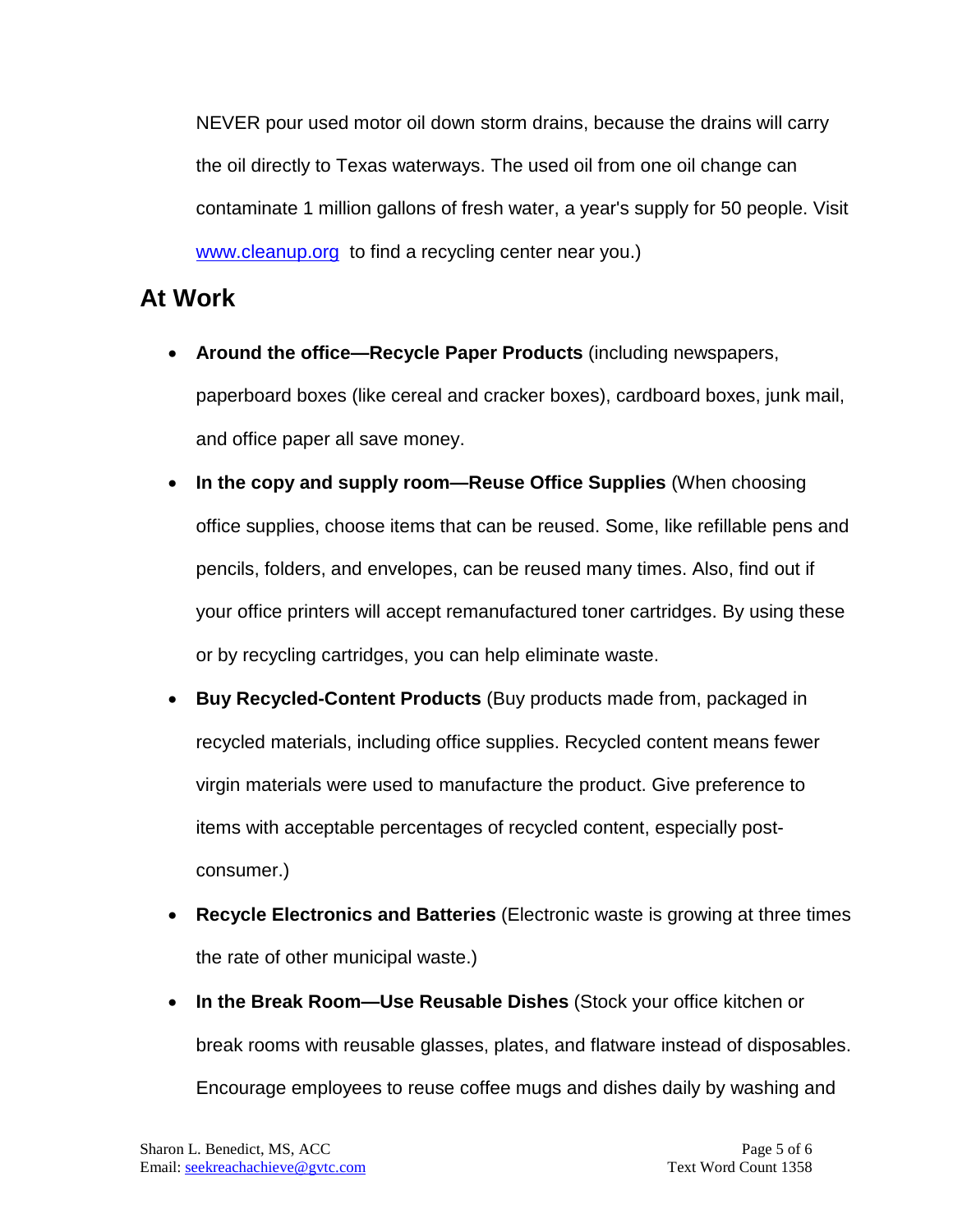NEVER pour used motor oil down storm drains, because the drains will carry the oil directly to Texas waterways. The used oil from one oil change can contaminate 1 million gallons of fresh water, a year's supply for 50 people. Visit [www.cleanup.org](http://www.cleanup.org/) to find a recycling center near you.)

#### **At Work**

- **Around the office—Recycle Paper Products** (including newspapers, paperboard boxes (like cereal and cracker boxes), cardboard boxes, junk mail, and office paper all save money.
- **In the copy and supply room—Reuse Office Supplies** (When choosing office supplies, choose items that can be reused. Some, like refillable pens and pencils, folders, and envelopes, can be reused many times. Also, find out if your office printers will accept remanufactured toner cartridges. By using these or by recycling cartridges, you can help eliminate waste.
- **Buy Recycled-Content Products** (Buy products made from, packaged in recycled materials, including office supplies. Recycled content means fewer virgin materials were used to manufacture the product. Give preference to items with acceptable percentages of recycled content, especially postconsumer.)
- **Recycle Electronics and Batteries** (Electronic waste is growing at three times the rate of other municipal waste.)
- **In the Break Room—Use Reusable Dishes** (Stock your office kitchen or break rooms with reusable glasses, plates, and flatware instead of disposables. Encourage employees to reuse coffee mugs and dishes daily by washing and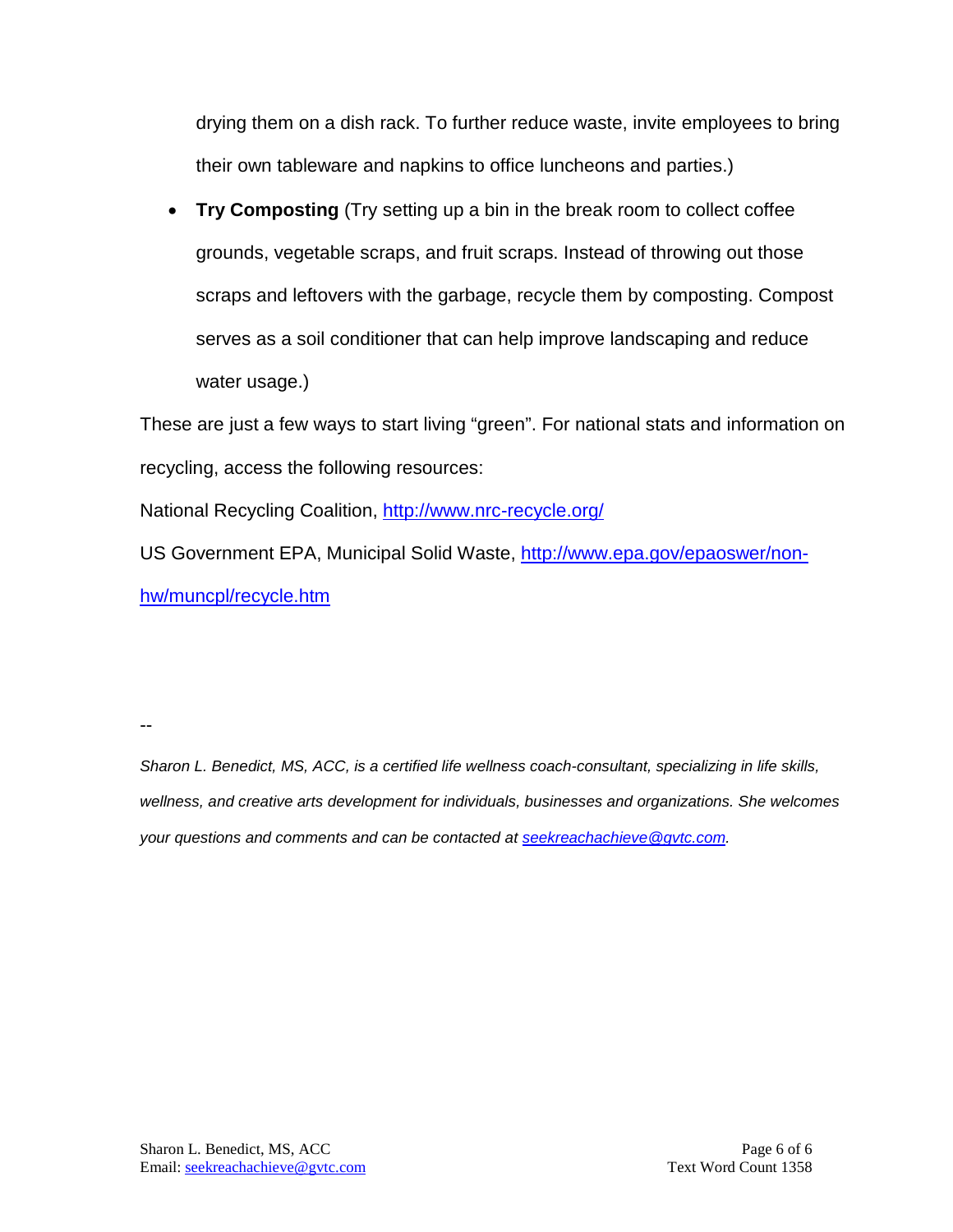drying them on a dish rack. To further reduce waste, invite employees to bring their own tableware and napkins to office luncheons and parties.)

• **Try Composting** (Try setting up a bin in the break room to collect coffee grounds, vegetable scraps, and fruit scraps. Instead of throwing out those scraps and leftovers with the garbage, recycle them by composting. Compost serves as a soil conditioner that can help improve landscaping and reduce water usage.)

These are just a few ways to start living "green". For national stats and information on recycling, access the following resources:

National Recycling Coalition,<http://www.nrc-recycle.org/>

US Government EPA, Municipal Solid Waste, [http://www.epa.gov/epaoswer/non](http://www.epa.gov/epaoswer/non-hw/muncpl/recycle.htm)[hw/muncpl/recycle.htm](http://www.epa.gov/epaoswer/non-hw/muncpl/recycle.htm)

--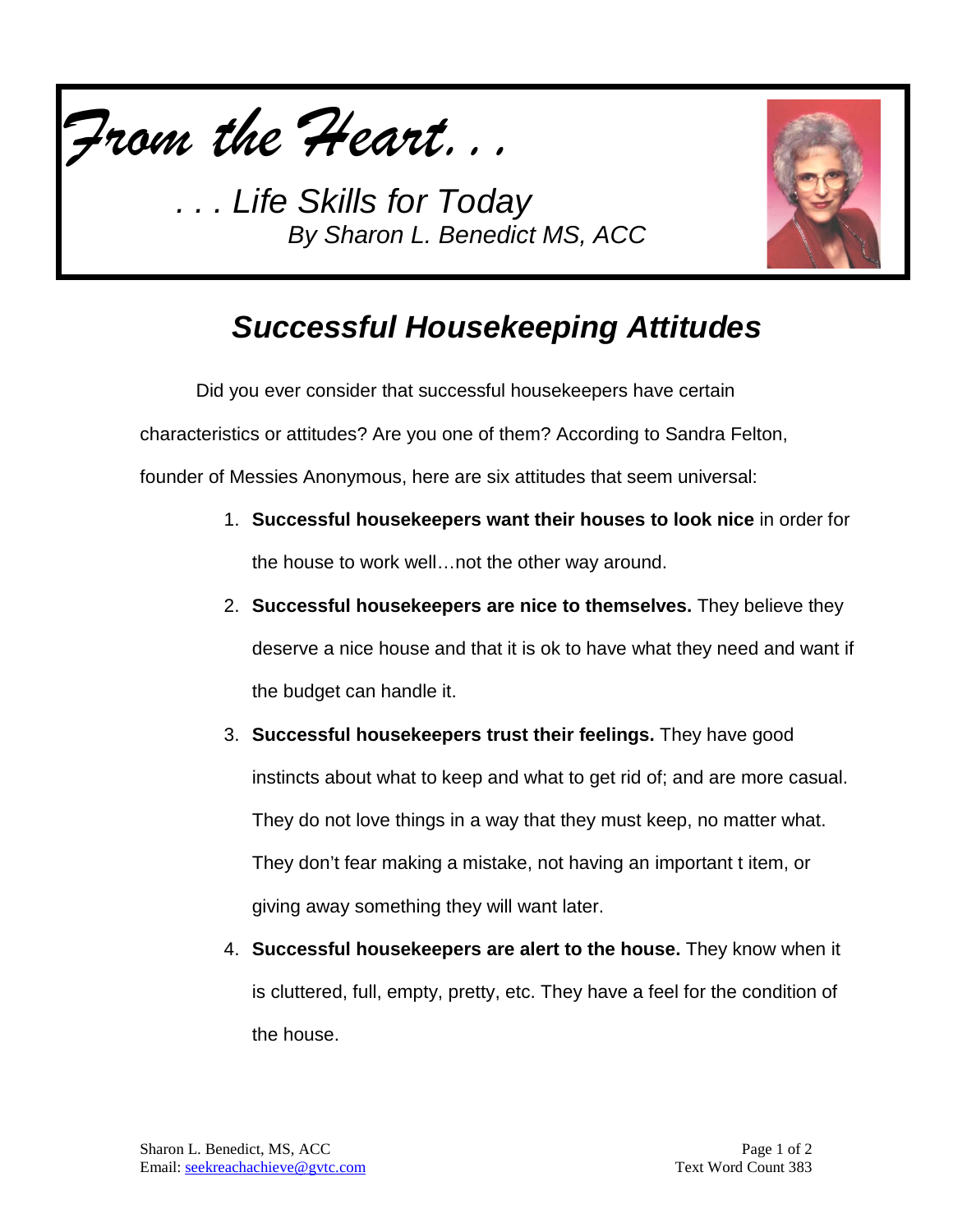



# *Successful Housekeeping Attitudes*

Did you ever consider that successful housekeepers have certain

characteristics or attitudes? Are you one of them? According to Sandra Felton,

founder of Messies Anonymous, here are six attitudes that seem universal:

- 1. **Successful housekeepers want their houses to look nice** in order for the house to work well…not the other way around.
- 2. **Successful housekeepers are nice to themselves.** They believe they deserve a nice house and that it is ok to have what they need and want if the budget can handle it.
- 3. **Successful housekeepers trust their feelings.** They have good instincts about what to keep and what to get rid of; and are more casual. They do not love things in a way that they must keep, no matter what. They don't fear making a mistake, not having an important t item, or giving away something they will want later.
- 4. **Successful housekeepers are alert to the house.** They know when it is cluttered, full, empty, pretty, etc. They have a feel for the condition of the house.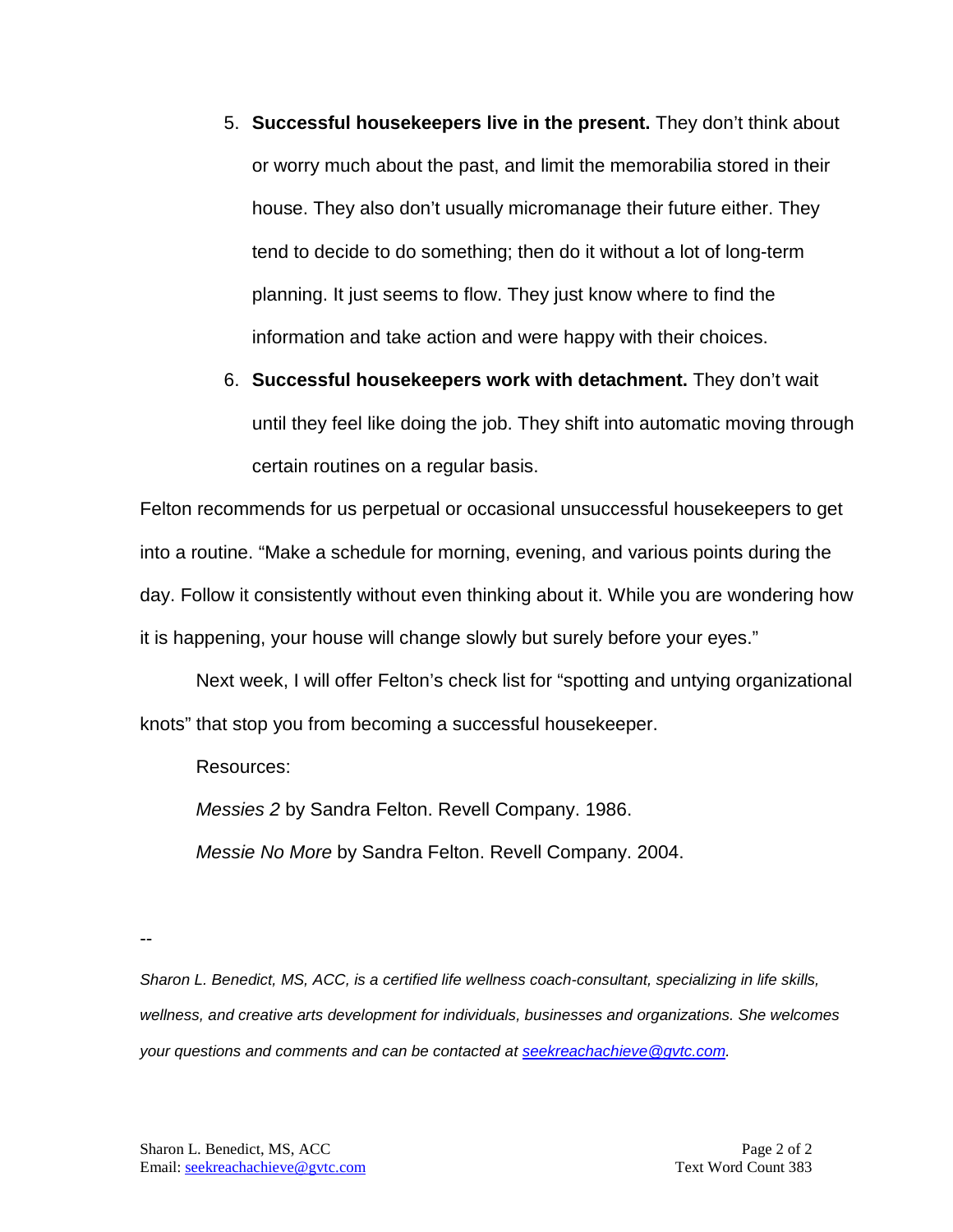- 5. **Successful housekeepers live in the present.** They don't think about or worry much about the past, and limit the memorabilia stored in their house. They also don't usually micromanage their future either. They tend to decide to do something; then do it without a lot of long-term planning. It just seems to flow. They just know where to find the information and take action and were happy with their choices.
- 6. **Successful housekeepers work with detachment.** They don't wait until they feel like doing the job. They shift into automatic moving through certain routines on a regular basis.

Felton recommends for us perpetual or occasional unsuccessful housekeepers to get into a routine. "Make a schedule for morning, evening, and various points during the day. Follow it consistently without even thinking about it. While you are wondering how it is happening, your house will change slowly but surely before your eyes."

Next week, I will offer Felton's check list for "spotting and untying organizational knots" that stop you from becoming a successful housekeeper.

Resources:

*Messies 2* by Sandra Felton. Revell Company. 1986.

*Messie No More* by Sandra Felton. Revell Company. 2004.

--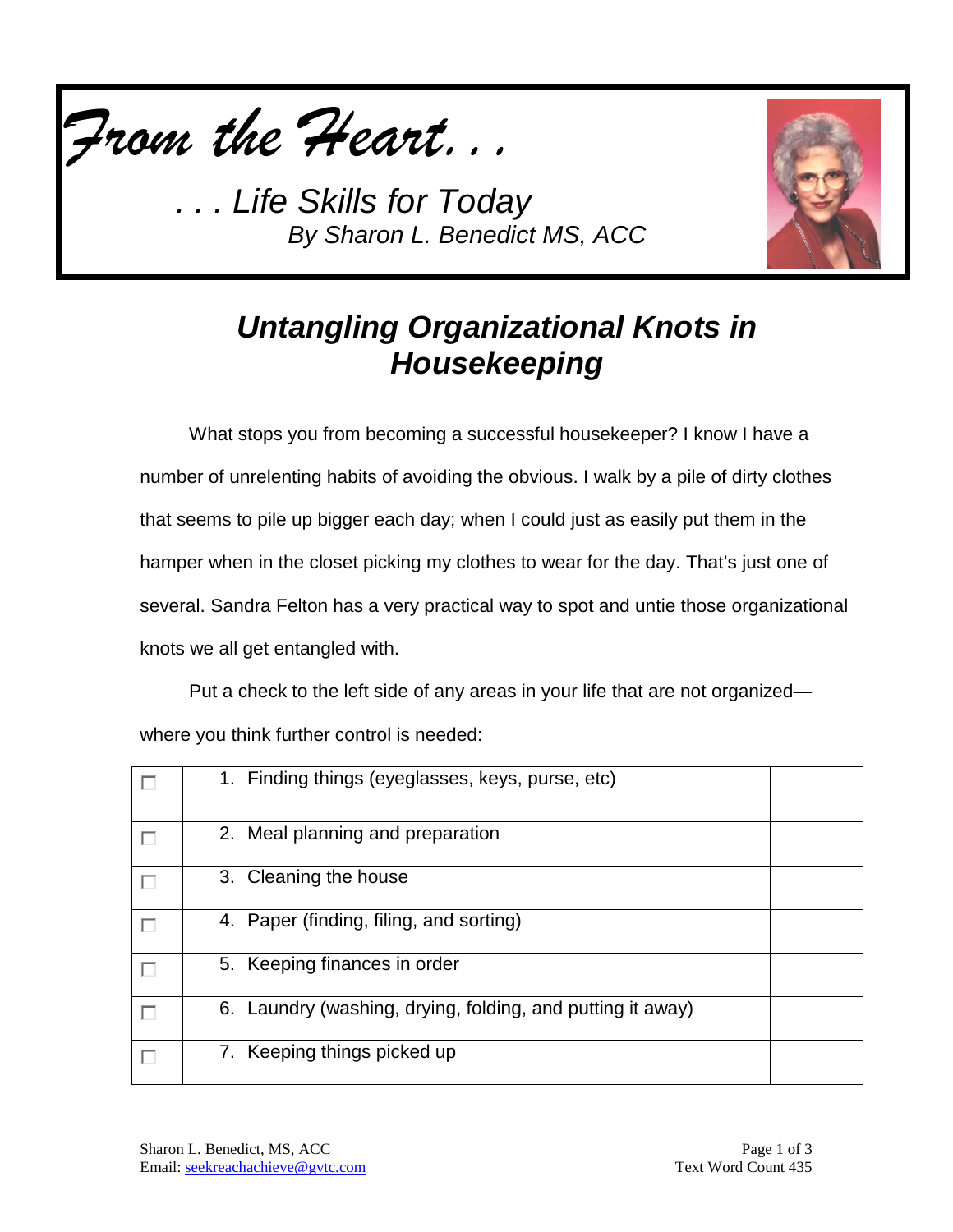



# *Untangling Organizational Knots in Housekeeping*

What stops you from becoming a successful housekeeper? I know I have a number of unrelenting habits of avoiding the obvious. I walk by a pile of dirty clothes that seems to pile up bigger each day; when I could just as easily put them in the hamper when in the closet picking my clothes to wear for the day. That's just one of several. Sandra Felton has a very practical way to spot and untie those organizational knots we all get entangled with.

Put a check to the left side of any areas in your life that are not organized where you think further control is needed:

| Е | 1. Finding things (eyeglasses, keys, purse, etc)           |  |
|---|------------------------------------------------------------|--|
| П | 2. Meal planning and preparation                           |  |
| Г | 3. Cleaning the house                                      |  |
| Г | 4. Paper (finding, filing, and sorting)                    |  |
|   | 5. Keeping finances in order                               |  |
| Г | 6. Laundry (washing, drying, folding, and putting it away) |  |
| П | 7. Keeping things picked up                                |  |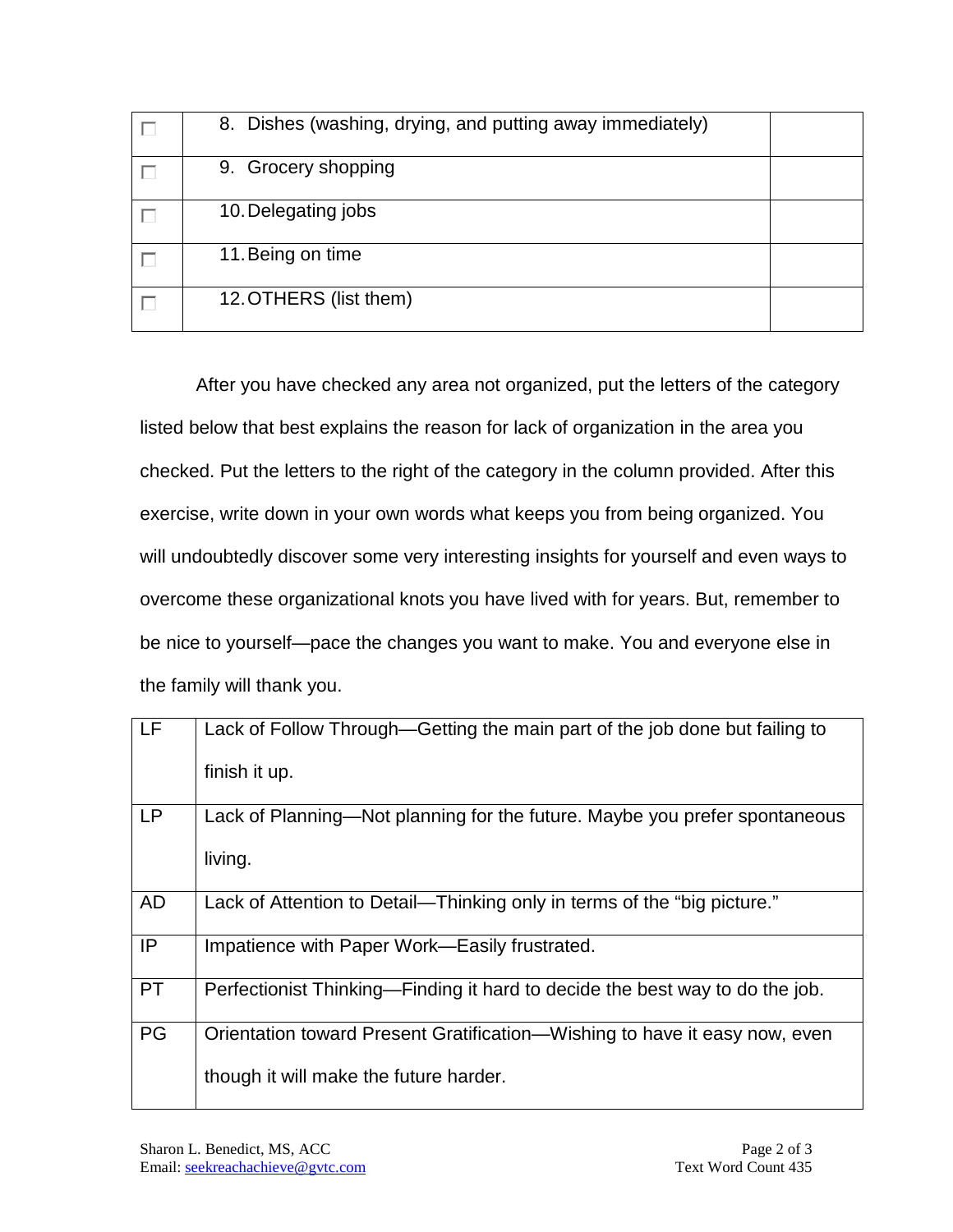| 8. Dishes (washing, drying, and putting away immediately) |  |
|-----------------------------------------------------------|--|
| 9. Grocery shopping                                       |  |
| 10. Delegating jobs                                       |  |
| 11. Being on time                                         |  |
| 12. OTHERS (list them)                                    |  |

After you have checked any area not organized, put the letters of the category listed below that best explains the reason for lack of organization in the area you checked. Put the letters to the right of the category in the column provided. After this exercise, write down in your own words what keeps you from being organized. You will undoubtedly discover some very interesting insights for yourself and even ways to overcome these organizational knots you have lived with for years. But, remember to be nice to yourself—pace the changes you want to make. You and everyone else in the family will thank you.

| Lack of Follow Through—Getting the main part of the job done but failing to<br>finish it up.                         |
|----------------------------------------------------------------------------------------------------------------------|
| Lack of Planning—Not planning for the future. Maybe you prefer spontaneous<br>living.                                |
| Lack of Attention to Detail-Thinking only in terms of the "big picture."                                             |
| Impatience with Paper Work—Easily frustrated.                                                                        |
| Perfectionist Thinking—Finding it hard to decide the best way to do the job.                                         |
| Orientation toward Present Gratification—Wishing to have it easy now, even<br>though it will make the future harder. |
|                                                                                                                      |